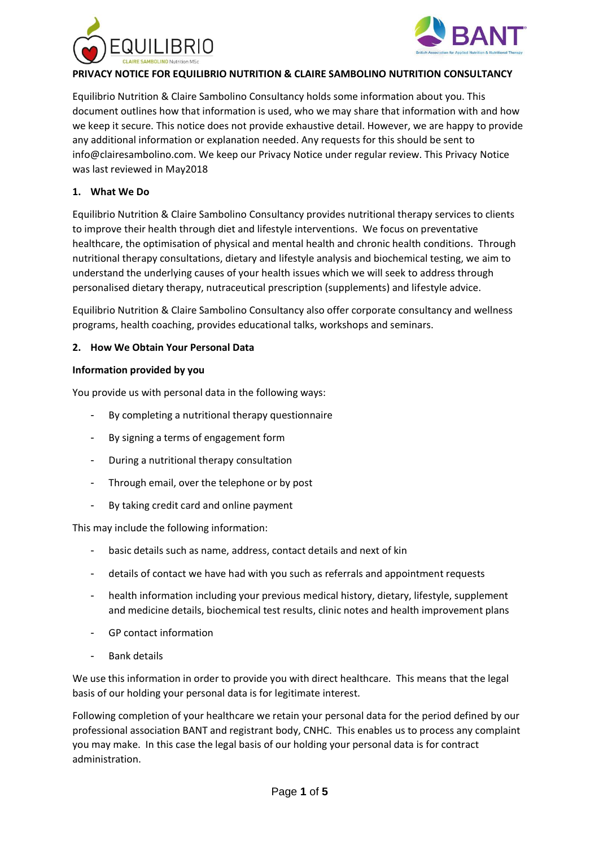



# **PRIVACY NOTICE FOR EQUILIBRIO NUTRITION & CLAIRE SAMBOLINO NUTRITION CONSULTANCY**

Equilibrio Nutrition & Claire Sambolino Consultancy holds some information about you. This document outlines how that information is used, who we may share that information with and how we keep it secure. This notice does not provide exhaustive detail. However, we are happy to provide any additional information or explanation needed. Any requests for this should be sent to info@clairesambolino.com. We keep our Privacy Notice under regular review. This Privacy Notice was last reviewed in May2018

#### **1. What We Do**

Equilibrio Nutrition & Claire Sambolino Consultancy provides nutritional therapy services to clients to improve their health through diet and lifestyle interventions. We focus on preventative healthcare, the optimisation of physical and mental health and chronic health conditions. Through nutritional therapy consultations, dietary and lifestyle analysis and biochemical testing, we aim to understand the underlying causes of your health issues which we will seek to address through personalised dietary therapy, nutraceutical prescription (supplements) and lifestyle advice.

Equilibrio Nutrition & Claire Sambolino Consultancy also offer corporate consultancy and wellness programs, health coaching, provides educational talks, workshops and seminars.

#### **2. How We Obtain Your Personal Data**

#### **Information provided by you**

You provide us with personal data in the following ways:

- By completing a nutritional therapy questionnaire
- By signing a terms of engagement form
- During a nutritional therapy consultation
- Through email, over the telephone or by post
- By taking credit card and online payment

This may include the following information:

- basic details such as name, address, contact details and next of kin
- details of contact we have had with you such as referrals and appointment requests
- health information including your previous medical history, dietary, lifestyle, supplement and medicine details, biochemical test results, clinic notes and health improvement plans
- GP contact information
- Bank details

We use this information in order to provide you with direct healthcare. This means that the legal basis of our holding your personal data is for legitimate interest.

Following completion of your healthcare we retain your personal data for the period defined by our professional association BANT and registrant body, CNHC. This enables us to process any complaint you may make. In this case the legal basis of our holding your personal data is for contract administration.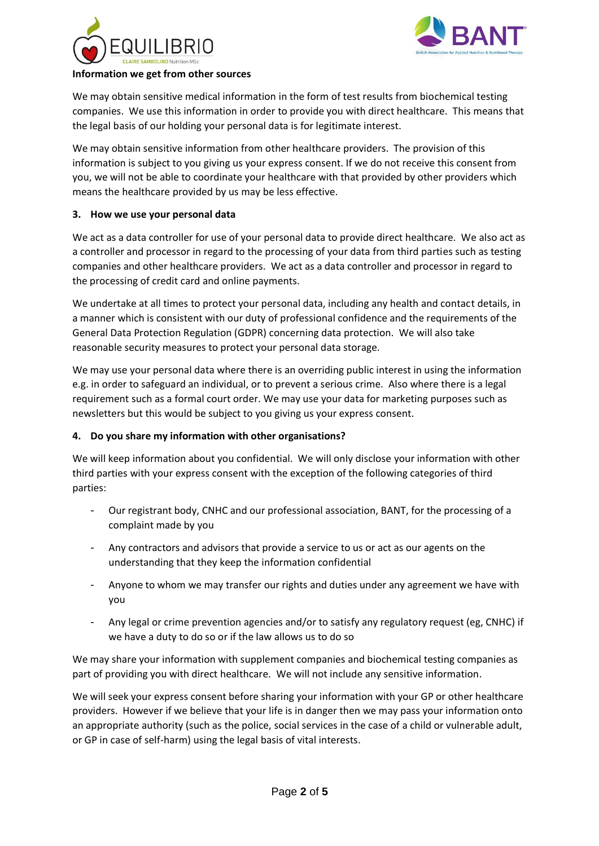



#### **Information we get from other sources**

We may obtain sensitive medical information in the form of test results from biochemical testing companies. We use this information in order to provide you with direct healthcare. This means that the legal basis of our holding your personal data is for legitimate interest.

We may obtain sensitive information from other healthcare providers. The provision of this information is subject to you giving us your express consent. If we do not receive this consent from you, we will not be able to coordinate your healthcare with that provided by other providers which means the healthcare provided by us may be less effective.

# **3. How we use your personal data**

We act as a data controller for use of your personal data to provide direct healthcare. We also act as a controller and processor in regard to the processing of your data from third parties such as testing companies and other healthcare providers. We act as a data controller and processor in regard to the processing of credit card and online payments.

We undertake at all times to protect your personal data, including any health and contact details, in a manner which is consistent with our duty of professional confidence and the requirements of the General Data Protection Regulation (GDPR) concerning data protection. We will also take reasonable security measures to protect your personal data storage.

We may use your personal data where there is an overriding public interest in using the information e.g. in order to safeguard an individual, or to prevent a serious crime. Also where there is a legal requirement such as a formal court order. We may use your data for marketing purposes such as newsletters but this would be subject to you giving us your express consent.

# **4. Do you share my information with other organisations?**

We will keep information about you confidential. We will only disclose your information with other third parties with your express consent with the exception of the following categories of third parties:

- Our registrant body, CNHC and our professional association, BANT, for the processing of a complaint made by you
- Any contractors and advisors that provide a service to us or act as our agents on the understanding that they keep the information confidential
- Anyone to whom we may transfer our rights and duties under any agreement we have with you
- Any legal or crime prevention agencies and/or to satisfy any regulatory request (eg, CNHC) if we have a duty to do so or if the law allows us to do so

We may share your information with supplement companies and biochemical testing companies as part of providing you with direct healthcare. We will not include any sensitive information.

We will seek your express consent before sharing your information with your GP or other healthcare providers. However if we believe that your life is in danger then we may pass your information onto an appropriate authority (such as the police, social services in the case of a child or vulnerable adult, or GP in case of self-harm) using the legal basis of vital interests.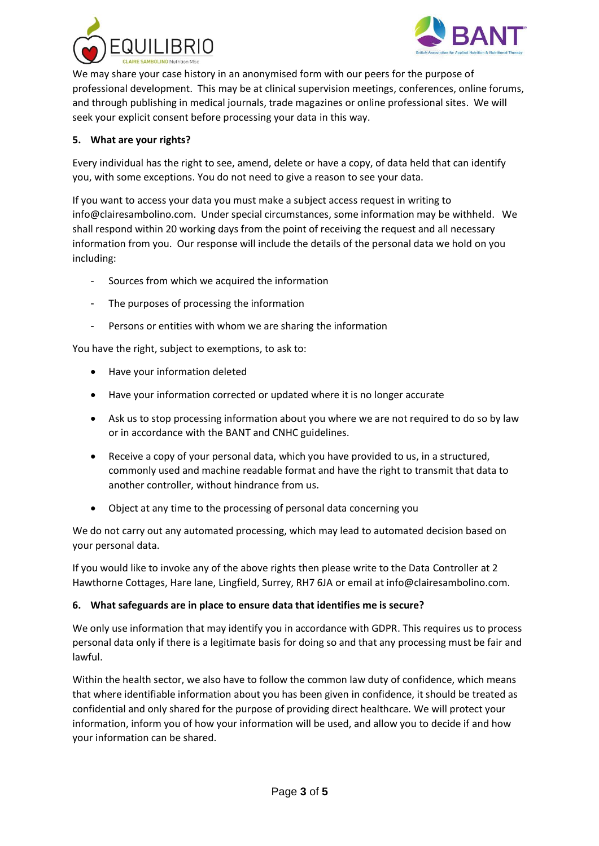



We may share your case history in an anonymised form with our peers for the purpose of professional development. This may be at clinical supervision meetings, conferences, online forums, and through publishing in medical journals, trade magazines or online professional sites. We will seek your explicit consent before processing your data in this way.

# **5. What are your rights?**

Every individual has the right to see, amend, delete or have a copy, of data held that can identify you, with some exceptions. You do not need to give a reason to see your data.

If you want to access your data you must make a subject access request in writing to info@clairesambolino.com. Under special circumstances, some information may be withheld. We shall respond within 20 working days from the point of receiving the request and all necessary information from you. Our response will include the details of the personal data we hold on you including:

- Sources from which we acquired the information
- The purposes of processing the information
- Persons or entities with whom we are sharing the information

You have the right, subject to exemptions, to ask to:

- Have your information deleted
- Have your information corrected or updated where it is no longer accurate
- Ask us to stop processing information about you where we are not required to do so by law or in accordance with the BANT and CNHC guidelines.
- Receive a copy of your personal data, which you have provided to us, in a structured, commonly used and machine readable format and have the right to transmit that data to another controller, without hindrance from us.
- Object at any time to the processing of personal data concerning you

We do not carry out any automated processing, which may lead to automated decision based on your personal data.

If you would like to invoke any of the above rights then please write to the Data Controller at 2 Hawthorne Cottages, Hare lane, Lingfield, Surrey, RH7 6JA or email at info@clairesambolino.com.

#### **6. What safeguards are in place to ensure data that identifies me is secure?**

We only use information that may identify you in accordance with GDPR. This requires us to process personal data only if there is a legitimate basis for doing so and that any processing must be fair and lawful.

Within the health sector, we also have to follow the common law duty of confidence, which means that where identifiable information about you has been given in confidence, it should be treated as confidential and only shared for the purpose of providing direct healthcare. We will protect your information, inform you of how your information will be used, and allow you to decide if and how your information can be shared.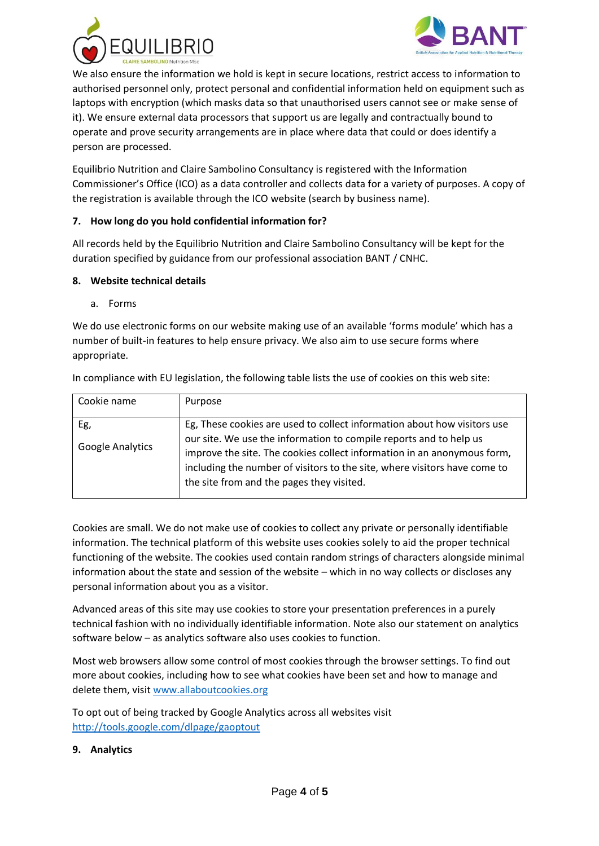



We also ensure the information we hold is kept in secure locations, restrict access to information to authorised personnel only, protect personal and confidential information held on equipment such as laptops with encryption (which masks data so that unauthorised users cannot see or make sense of it). We ensure external data processors that support us are legally and contractually bound to operate and prove security arrangements are in place where data that could or does identify a person are processed.

Equilibrio Nutrition and Claire Sambolino Consultancy is registered with the Information Commissioner's Office (ICO) as a data controller and collects data for a variety of purposes. A copy of the registration is available through the ICO website (search by business name).

# **7. How long do you hold confidential information for?**

All records held by the Equilibrio Nutrition and Claire Sambolino Consultancy will be kept for the duration specified by guidance from our professional association BANT / CNHC.

#### **8. Website technical details**

a. Forms

We do use electronic forms on our website making use of an available 'forms module' which has a number of built-in features to help ensure privacy. We also aim to use secure forms where appropriate.

|  | In compliance with EU legislation, the following table lists the use of cookies on this web site: |  |  |
|--|---------------------------------------------------------------------------------------------------|--|--|
|  |                                                                                                   |  |  |

| Cookie name             | Purpose                                                                                                                                                                                                                   |  |  |
|-------------------------|---------------------------------------------------------------------------------------------------------------------------------------------------------------------------------------------------------------------------|--|--|
| Eg,<br>Google Analytics | Eg, These cookies are used to collect information about how visitors use<br>our site. We use the information to compile reports and to help us<br>improve the site. The cookies collect information in an anonymous form, |  |  |
|                         | including the number of visitors to the site, where visitors have come to<br>the site from and the pages they visited.                                                                                                    |  |  |

Cookies are small. We do not make use of cookies to collect any private or personally identifiable information. The technical platform of this website uses cookies solely to aid the proper technical functioning of the website. The cookies used contain random strings of characters alongside minimal information about the state and session of the website – which in no way collects or discloses any personal information about you as a visitor.

Advanced areas of this site may use cookies to store your presentation preferences in a purely technical fashion with no individually identifiable information. Note also our statement on analytics software below – as analytics software also uses cookies to function.

Most web browsers allow some control of most cookies through the browser settings. To find out more about cookies, including how to see what cookies have been set and how to manage and delete them, visit [www.allaboutcookies.org](http://www.allaboutcookies.org/)

To opt out of being tracked by Google Analytics across all websites visit <http://tools.google.com/dlpage/gaoptout>

# **9. Analytics**